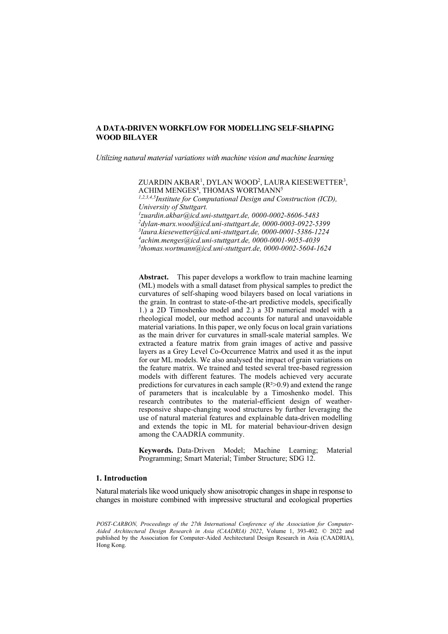*Utilizing natural material variations with machine vision and machine learning*

ZUARDIN AKBAR<sup>1</sup>, DYLAN WOOD<sup>2</sup>, LAURA KIESEWETTER<sup>3</sup>,  $\Lambda$ CHIM MENGES $^4$ , THOMAS WORTMANN $^5$ 

*1,2,3,4,5Institute for Computational Design and Construction (ICD),*  University of Stuttgart.<br><sup>1</sup>zuardin.akbar@icd.uni-stuttgart.de, 0000-0002-8606-5483 *[zuardin.akbar@icd.uni-stuttgart.de,](mailto:1zuardin.akbar@icd.uni-stuttgart.de) 0000-0002-8606-5483 2 [dylan-marx.wood@icd.uni-stuttgart.de,](mailto:2dylan-marx.wood@icd.uni-stuttgart.de) 0000-0003-0922-5399 3 [laura.kiesewetter@icd.uni-stuttgart.de,](mailto:3laura.kiesewetter@icd.uni-stuttgart.de) 0000-0001-5386-1224 4 [achim.menges@icd.uni-stuttgart.de,](mailto:4achim.menges@icd.uni-stuttgart.de) 0000-0001-9055-4039 5 [thomas.wortmann@icd.uni-stuttgart.de,](mailto:5thomas.wortmann@icd.uni-stuttgart.de) 0000-0002-5604-1624*

**Abstract.** This paper develops a workflow to train machine learning (ML) models with a small dataset from physical samples to predict the curvatures of self-shaping wood bilayers based on local variations in the grain. In contrast to state-of-the-art predictive models, specifically 1.) a 2D Timoshenko model and 2.) a 3D numerical model with a rheological model, our method accounts for natural and unavoidable material variations. In this paper, we only focus on local grain variations as the main driver for curvatures in small-scale material samples. We extracted a feature matrix from grain images of active and passive layers as a Grey Level Co-Occurrence Matrix and used it as the input for our ML models. We also analysed the impact of grain variations on the feature matrix. We trained and tested several tree-based regression models with different features. The models achieved very accurate predictions for curvatures in each sample  $(R^2>0.9)$  and extend the range of parameters that is incalculable by a Timoshenko model. This research contributes to the material-efficient design of weatherresponsive shape-changing wood structures by further leveraging the use of natural material features and explainable data-driven modelling and extends the topic in ML for material behaviour-driven design among the CAADRIA community.

**Keywords.** Data-Driven Model; Machine Learning; Material Programming; Smart Material; Timber Structure; SDG 12.

## **1. Introduction**

Natural materials like wood uniquely show anisotropic changes in shape in response to changes in moisture combined with impressive structural and ecological properties

*POST-CARBON, Proceedings of the 27th International Conference of the Association for Computer-Aided Architectural Design Research in Asia (CAADRIA) 2022*, Volume 1, 393-402. © 2022 and published by the Association for Computer-Aided Architectural Design Research in Asia (CAADRIA), Hong Kong.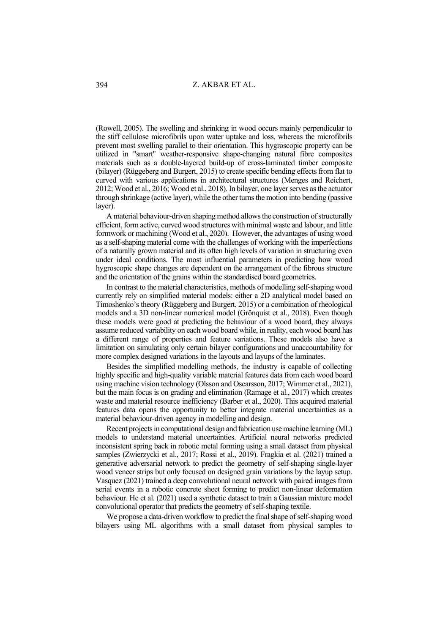(Rowell, 2005). The swelling and shrinking in wood occurs mainly perpendicular to the stiff cellulose microfibrils upon water uptake and loss, whereas the microfibrils prevent most swelling parallel to their orientation. This hygroscopic property can be utilized in "smart" weather-responsive shape-changing natural fibre composites materials such as a double-layered build-up of cross-laminated timber composite (bilayer) (Rüggeberg and Burgert, 2015) to create specific bending effects from flat to curved with various applications in architectural structures (Menges and Reichert, 2012; Wood et al., 2016; Wood et al., 2018). In bilayer, one layer serves as the actuator through shrinkage (active layer), while the other turns the motion into bending (passive layer).

A material behaviour-driven shaping method allows the construction of structurally efficient, form active, curved wood structures with minimal waste and labour, and little formwork or machining (Wood et al., 2020). However, the advantages of using wood as a self-shaping material come with the challenges of working with the imperfections of a naturally grown material and its often high levels of variation in structuring even under ideal conditions. The most influential parameters in predicting how wood hygroscopic shape changes are dependent on the arrangement of the fibrous structure and the orientation of the grains within the standardised board geometries.

In contrast to the material characteristics, methods of modelling self-shaping wood currently rely on simplified material models: either a 2D analytical model based on Timoshenko's theory (Rüggeberg and Burgert, 2015) or a combination of rheological models and a 3D non-linear numerical model (Grönquist et al., 2018). Even though these models were good at predicting the behaviour of a wood board, they always assume reduced variability on each wood board while, in reality, each wood board has a different range of properties and feature variations. These models also have a limitation on simulating only certain bilayer configurations and unaccountability for more complex designed variations in the layouts and layups of the laminates.

Besides the simplified modelling methods, the industry is capable of collecting highly specific and high-quality variable material features data from each wood board using machine vision technology (Olsson and Oscarsson, 2017; Wimmer et al., 2021), but the main focus is on grading and elimination (Ramage et al., 2017) which creates waste and material resource inefficiency (Barber et al., 2020). This acquired material features data opens the opportunity to better integrate material uncertainties as a material behaviour-driven agency in modelling and design.

Recent projects in computational design and fabrication use machine learning (ML) models to understand material uncertainties. Artificial neural networks predicted inconsistent spring back in robotic metal forming using a small dataset from physical samples (Zwierzycki et al., 2017; Rossi et al., 2019). Fragkia et al. (2021) trained a generative adversarial network to predict the geometry of self-shaping single-layer wood veneer strips but only focused on designed grain variations by the layup setup. Vasquez (2021) trained a deep convolutional neural network with paired images from serial events in a robotic concrete sheet forming to predict non-linear deformation behaviour. He et al. (2021) used a synthetic dataset to train a Gaussian mixture model convolutional operator that predicts the geometry of self-shaping textile.

We propose a data-driven workflow to predict the final shape of self-shaping wood bilayers using ML algorithms with a small dataset from physical samples to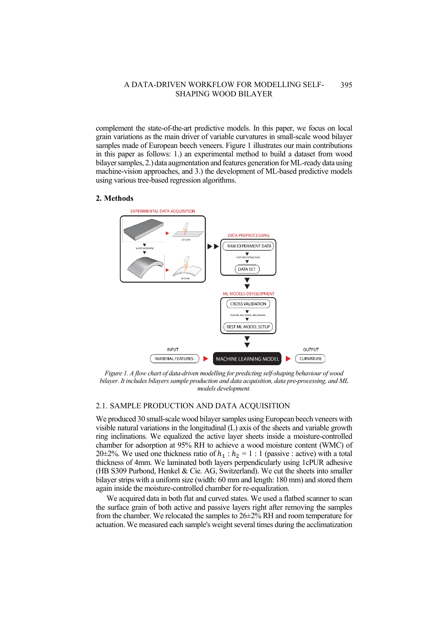complement the state-of-the-art predictive models. In this paper, we focus on local grain variations as the main driver of variable curvatures in small-scale wood bilayer samples made of European beech veneers. Figure 1 illustrates our main contributions in this paper as follows: 1.) an experimental method to build a dataset from wood bilayer samples, 2.) data augmentation and features generation for ML-ready data using machine-vision approaches, and 3.) the development of ML-based predictive models using various tree-based regression algorithms.

#### **2. Methods**



*Figure 1. A flow chart of data-driven modelling for predicting self-shaping behaviour of wood bilayer. It includes bilayers sample production and data acquisition, data pre-processing, and ML models development.*

## 2.1. SAMPLE PRODUCTION AND DATA ACQUISITION

We produced 30 small-scale wood bilayer samples using European beech veneers with visible natural variations in the longitudinal (L) axis of the sheets and variable growth ring inclinations. We equalized the active layer sheets inside a moisture-controlled chamber for adsorption at 95% RH to achieve a wood moisture content (WMC) of 20 $\pm$ 2%. We used one thickness ratio of  $h_1 : h_2 = 1 : 1$  (passive : active) with a total thickness of 4mm. We laminated both layers perpendicularly using 1cPUR adhesive (HB S309 Purbond, Henkel & Cie. AG, Switzerland). We cut the sheets into smaller bilayer strips with a uniform size (width: 60 mm and length: 180 mm) and stored them again inside the moisture-controlled chamber for re-equalization.

We acquired data in both flat and curved states. We used a flatbed scanner to scan the surface grain of both active and passive layers right after removing the samples from the chamber. We relocated the samples to 26±2% RH and room temperature for actuation. We measured each sample's weight several times during the acclimatization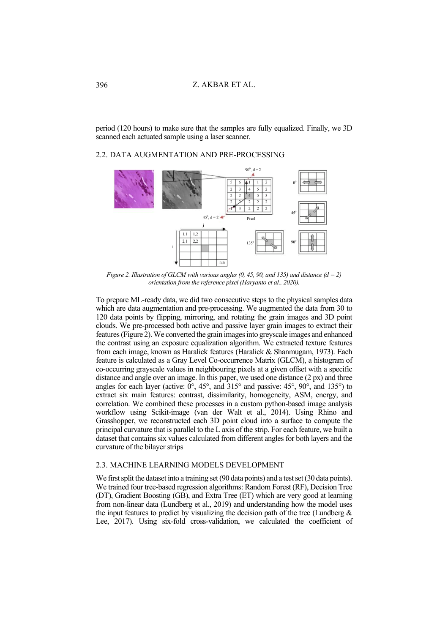period (120 hours) to make sure that the samples are fully equalized. Finally, we 3D scanned each actuated sample using a laser scanner.

# 2.2. DATA AUGMENTATION AND PRE-PROCESSING



*Figure 2. Illustration of GLCM with various angles (0, 45, 90, and 135) and distance (d = 2) orientation from the reference pixel (Haryanto et al., 2020).*

To prepare ML-ready data, we did two consecutive steps to the physical samples data which are data augmentation and pre-processing. We augmented the data from 30 to 120 data points by flipping, mirroring, and rotating the grain images and 3D point clouds. We pre-processed both active and passive layer grain images to extract their features (Figure 2). We converted the grain images into greyscale images and enhanced the contrast using an exposure equalization algorithm. We extracted texture features from each image, known as Haralick features (Haralick & Shanmugam, 1973). Each feature is calculated as a Gray Level Co-occurrence Matrix (GLCM), a histogram of co-occurring grayscale values in neighbouring pixels at a given offset with a specific distance and angle over an image. In this paper, we used one distance (2 px) and three angles for each layer (active:  $0^\circ$ ,  $45^\circ$ , and  $315^\circ$  and passive:  $45^\circ$ ,  $90^\circ$ , and  $135^\circ$ ) to extract six main features: contrast, dissimilarity, homogeneity, ASM, energy, and correlation. We combined these processes in a custom python-based image analysis workflow using Scikit-image (van der Walt et al., 2014). Using Rhino and Grasshopper, we reconstructed each 3D point cloud into a surface to compute the principal curvature that is parallel to the L axis of the strip. For each feature, we built a dataset that contains six values calculated from different angles for both layers and the curvature of the bilayer strips

### 2.3. MACHINE LEARNING MODELS DEVELOPMENT

We first split the dataset into a training set (90 data points) and a test set (30 data points). We trained four tree-based regression algorithms: Random Forest (RF), Decision Tree (DT), Gradient Boosting (GB), and Extra Tree (ET) which are very good at learning from non-linear data (Lundberg et al., 2019) and understanding how the model uses the input features to predict by visualizing the decision path of the tree (Lundberg  $\&$ Lee, 2017). Using six-fold cross-validation, we calculated the coefficient of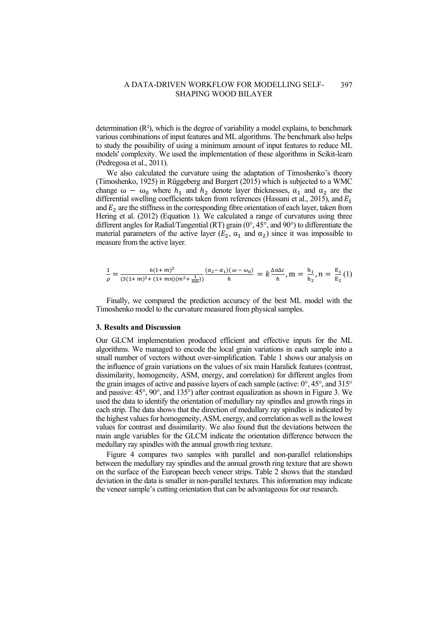determination  $(R^2)$ , which is the degree of variability a model explains, to benchmark various combinations of input features and ML algorithms. The benchmark also helps to study the possibility of using a minimum amount of input features to reduce ML models' complexity. We used the implementation of these algorithms in Scikit-learn (Pedregosa et al., 2011).

We also calculated the curvature using the adaptation of Timoshenko's theory (Timoshenko, 1925) in Rüggeberg and Burgert (2015) which is subjected to a WMC change  $\omega - \omega_0$  where  $h_1$  and  $h_2$  denote layer thicknesses,  $\alpha_1$  and  $\alpha_2$  are the differential swelling coefficients taken from references (Hassani et al., 2015), and  $E_1$ and  $E_2$  are the stiffness in the corresponding fibre orientation of each layer, taken from Hering et al. (2012) (Equation 1). We calculated a range of curvatures using three different angles for Radial/Tangential (RT) grain (0°, 45°, and 90°) to differentiate the material parameters of the active layer ( $E_2$ ,  $\alpha_1$  and  $\alpha_2$ ) since it was impossible to measure from the active layer.

$$
\frac{1}{\rho} = \frac{6(1+m)^2}{(3(1+m)^2 + (1+mn)(m^2 + \frac{1}{mn}))} \frac{(a_2 - a_1)(\omega - \omega_0)}{h} = k \frac{\Delta \alpha \Delta c}{h}, \quad m = \frac{h_1}{h_2}, \quad n = \frac{E_1}{E_2}(1)
$$

Finally, we compared the prediction accuracy of the best ML model with the Timoshenko model to the curvature measured from physical samples.

### **3. Results and Discussion**

Our GLCM implementation produced efficient and effective inputs for the ML algorithms. We managed to encode the local grain variations in each sample into a small number of vectors without over-simplification. Table 1 shows our analysis on the influence of grain variations on the values of six main Haralick features (contrast, dissimilarity, homogeneity, ASM, energy, and correlation) for different angles from the grain images of active and passive layers of each sample (active:  $0^\circ$ , 45 $^\circ$ , and 315 $^\circ$ and passive: 45°, 90°, and 135°) after contrast equalization as shown in Figure 3. We used the data to identify the orientation of medullary ray spindles and growth rings in each strip. The data shows that the direction of medullary ray spindles is indicated by the highest values for homogeneity, ASM, energy, and correlation as well as the lowest values for contrast and dissimilarity. We also found that the deviations between the main angle variables for the GLCM indicate the orientation difference between the medullary ray spindles with the annual growth ring texture.

Figure 4 compares two samples with parallel and non-parallel relationships between the medullary ray spindles and the annual growth ring texture that are shown on the surface of the European beech veneer strips. Table 2 shows that the standard deviation in the data is smaller in non-parallel textures. This information may indicate the veneer sample's cutting orientation that can be advantageous for our research.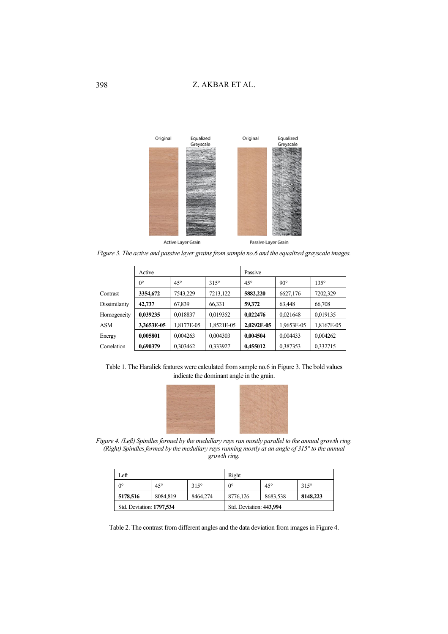

*Figure 3. The active and passive layer grains from sample no.6 and the equalized grayscale images.*

|               | Active      |              |             | Passive      |              |             |
|---------------|-------------|--------------|-------------|--------------|--------------|-------------|
|               | $0^{\circ}$ | $45^{\circ}$ | $315^\circ$ | $45^{\circ}$ | $90^{\circ}$ | $135^\circ$ |
| Contrast      | 3354,672    | 7543,229     | 7213,122    | 5882,220     | 6627,176     | 7202,329    |
| Dissimilarity | 42,737      | 67,839       | 66,331      | 59,372       | 63.448       | 66,708      |
| Homogeneity   | 0.039235    | 0,018837     | 0,019352    | 0,022476     | 0,021648     | 0,019135    |
| ASM           | 3,3653E-05  | 1,8177E-05   | 1,8521E-05  | 2,0292E-05   | 1,9653E-05   | 1,8167E-05  |
| Energy        | 0,005801    | 0,004263     | 0,004303    | 0,004504     | 0,004433     | 0,004262    |
| Correlation   | 0,690379    | 0.303462     | 0,333927    | 0,455012     | 0,387353     | 0,332715    |

Table 1. The Haralick features were calculated from sample no.6 in Figure 3. The bold values indicate the dominant angle in the grain.



*Figure 4. (Left) Spindles formed by the medullary rays run mostly parallel to the annual growth ring. (Right) Spindles formed by the medullary rays running mostly at an angle of 315° to the annual growth ring.*

| Left                     |              |             | Right                   |              |             |  |
|--------------------------|--------------|-------------|-------------------------|--------------|-------------|--|
| 0°                       | $45^{\circ}$ | $315^\circ$ | $0^{\circ}$             | $45^{\circ}$ | $315^\circ$ |  |
| 5178,516                 | 8084.819     | 8464.274    | 8776.126                | 8683.538     | 8148,223    |  |
| Std. Deviation: 1797,534 |              |             | Std. Deviation: 443,994 |              |             |  |

Table 2. The contrast from different angles and the data deviation from images in Figure 4.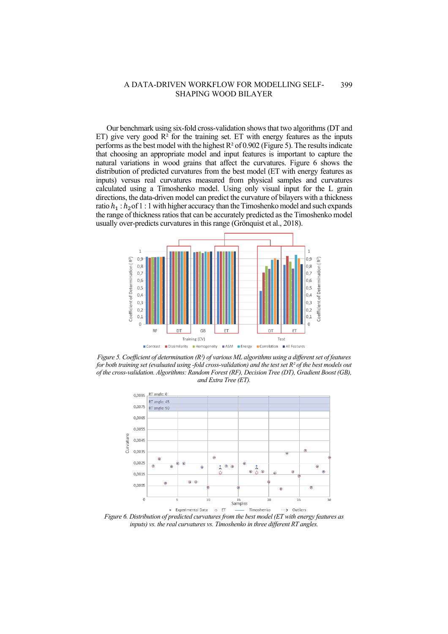Our benchmark using six-fold cross-validation shows that two algorithms (DT and ET) give very good  $\mathbb{R}^2$  for the training set. ET with energy features as the inputs performs as the best model with the highest  $R^2$  of 0.902 (Figure 5). The results indicate that choosing an appropriate model and input features is important to capture the natural variations in wood grains that affect the curvatures. Figure 6 shows the distribution of predicted curvatures from the best model (ET with energy features as inputs) versus real curvatures measured from physical samples and curvatures calculated using a Timoshenko model. Using only visual input for the L grain directions, the data-driven model can predict the curvature of bilayers with a thickness ratio  $h_1 : h_2$  of 1 : 1 with higher accuracy than the Timoshenko model and such expands the range of thickness ratios that can be accurately predicted as the Timoshenko model usually over-predicts curvatures in this range (Grönquist et al., 2018).



*Figure 5. Coefficient of determination (R²) of various ML algorithms using a different set of features for both training set (evaluated using -fold cross-validation) and the test set R² of the best models out of the cross-validation. Algorithms: Random Forest (RF), Decision Tree (DT), Gradient Boost (GB), and Extra Tree (ET).*



*Figure 6. Distribution of predicted curvatures from the best model (ET with energy features as inputs) vs. the real curvatures vs. Timoshenko in three different RT angles.*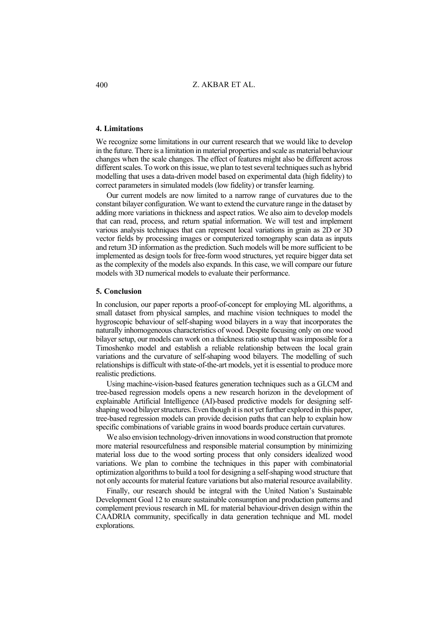Z. AKBAR ET AL.

### **4. Limitations**

We recognize some limitations in our current research that we would like to develop in the future. There is a limitation in material properties and scale as material behaviour changes when the scale changes. The effect of features might also be different across different scales. To work on this issue, we plan to test several techniques such as hybrid modelling that uses a data-driven model based on experimental data (high fidelity) to correct parameters in simulated models (low fidelity) or transfer learning.

Our current models are now limited to a narrow range of curvatures due to the constant bilayer configuration. We want to extend the curvature range in the dataset by adding more variations in thickness and aspect ratios. We also aim to develop models that can read, process, and return spatial information. We will test and implement various analysis techniques that can represent local variations in grain as 2D or 3D vector fields by processing images or computerized tomography scan data as inputs and return 3D information as the prediction. Such models will be more sufficient to be implemented as design tools for free-form wood structures, yet require bigger data set as the complexity of the models also expands. In this case, we will compare our future models with 3D numerical models to evaluate their performance.

## **5. Conclusion**

In conclusion, our paper reports a proof-of-concept for employing ML algorithms, a small dataset from physical samples, and machine vision techniques to model the hygroscopic behaviour of self-shaping wood bilayers in a way that incorporates the naturally inhomogeneous characteristics of wood. Despite focusing only on one wood bilayer setup, our models can work on a thickness ratio setup that was impossible for a Timoshenko model and establish a reliable relationship between the local grain variations and the curvature of self-shaping wood bilayers. The modelling of such relationships is difficult with state-of-the-art models, yet it is essential to produce more realistic predictions.

Using machine-vision-based features generation techniques such as a GLCM and tree-based regression models opens a new research horizon in the development of explainable Artificial Intelligence (AI)-based predictive models for designing selfshaping wood bilayer structures. Even though it is not yet further explored in this paper, tree-based regression models can provide decision paths that can help to explain how specific combinations of variable grains in wood boards produce certain curvatures.

We also envision technology-driven innovations in wood construction that promote more material resourcefulness and responsible material consumption by minimizing material loss due to the wood sorting process that only considers idealized wood variations. We plan to combine the techniques in this paper with combinatorial optimization algorithms to build a tool for designing a self-shaping wood structure that not only accounts for material feature variations but also material resource availability.

Finally, our research should be integral with the United Nation's Sustainable Development Goal 12 to ensure sustainable consumption and production patterns and complement previous research in ML for material behaviour-driven design within the CAADRIA community, specifically in data generation technique and ML model explorations.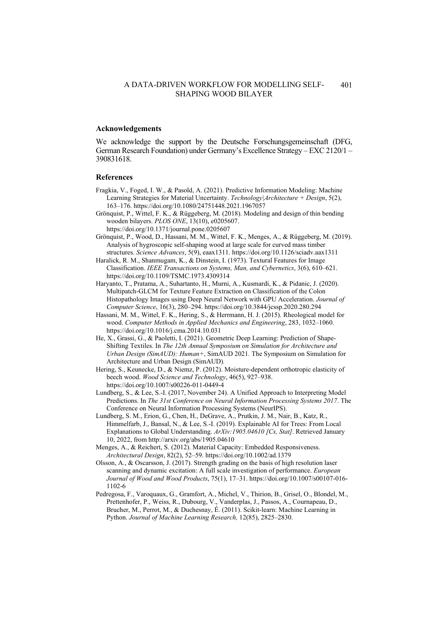### **Acknowledgements**

We acknowledge the support by the Deutsche Forschungsgemeinschaft (DFG, German Research Foundation) under Germany's Excellence Strategy – EXC 2120/1 – 390831618.

## **References**

- Fragkia, V., Foged, I. W., & Pasold, A. (2021). Predictive Information Modeling: Machine Learning Strategies for Material Uncertainty. *Technology|Architecture + Design*, 5(2), 163–176[. https://doi.org/10.1080/24751448.2021.1967057](https://doi.org/10.1080/24751448.2021.1967057)
- Grönquist, P., Wittel, F. K., & Rüggeberg, M. (2018). Modeling and design of thin bending wooden bilayers. *PLOS ONE*, 13(10), e0205607. <https://doi.org/10.1371/journal.pone.0205607>
- Grönquist, P., Wood, D., Hassani, M. M., Wittel, F. K., Menges, A., & Rüggeberg, M. (2019). Analysis of hygroscopic self-shaping wood at large scale for curved mass timber structures. *Science Advances*, 5(9), eaax1311[. https://doi.org/10.1126/sciadv.aax1311](https://doi.org/10.1126/sciadv.aax1311)
- Haralick, R. M., Shanmugam, K., & Dinstein, I. (1973). Textural Features for Image Classification. *IEEE Transactions on Systems, Man, and Cybernetics*, 3(6), 610–621. https://doi.org/10.1109/TSMC.1973.4309314
- Haryanto, T., Pratama, A., Suhartanto, H., Murni, A., Kusmardi, K., & Pidanic, J. (2020). Multipatch-GLCM for Texture Feature Extraction on Classification of the Colon Histopathology Images using Deep Neural Network with GPU Acceleration. *Journal of Computer Science*, 16(3), 280–294[. https://doi.org/10.3844/jcssp.2020.280.294](https://doi.org/10.3844/jcssp.2020.280.294)
- Hassani, M. M., Wittel, F. K., Hering, S., & Herrmann, H. J. (2015). Rheological model for wood. *Computer Methods in Applied Mechanics and Engineering*, 283, 1032–1060. https://doi.org/10.1016/j.cma.2014.10.031
- He, X., Grassi, G., & Paoletti, I. (2021). Geometric Deep Learning: Prediction of Shape-Shifting Textiles. In *The 12th Annual Symposium on Simulation for Architecture and Urban Design (SimAUD): Human+*, SimAUD 2021*.* The Symposium on Simulation for Architecture and Urban Design (SimAUD)*.*
- Hering, S., Keunecke, D., & Niemz, P. (2012). Moisture-dependent orthotropic elasticity of beech wood. *Wood Science and Technology*, 46(5), 927–938. <https://doi.org/10.1007/s00226-011-0449-4>
- Lundberg, S., & Lee, S.-I. (2017, November 24). A Unified Approach to Interpreting Model Predictions. In *The 31st Conference on Neural Information Processing Systems 2017*. The Conference on Neural Information Processing Systems (NeurIPS).
- Lundberg, S. M., Erion, G., Chen, H., DeGrave, A., Prutkin, J. M., Nair, B., Katz, R., Himmelfarb, J., Bansal, N., & Lee, S.-I. (2019). Explainable AI for Trees: From Local Explanations to Global Understanding. *ArXiv:1905.04610 [Cs, Stat]*. Retrieved January 10, 2022, fro[m http://arxiv.org/abs/1905.04610](http://arxiv.org/abs/1905.04610)
- Menges, A., & Reichert, S. (2012). Material Capacity: Embedded Responsiveness. *Architectural Design*, 82(2), 52–59[. https://doi.org/10.1002/ad.1379](https://doi.org/10.1002/ad.1379)
- Olsson, A., & Oscarsson, J. (2017). Strength grading on the basis of high resolution laser scanning and dynamic excitation: A full scale investigation of performance. *European Journal of Wood and Wood Products*, 75(1), 17–31[. https://doi.org/10.1007/s00107-016-](https://doi.org/10.1007/s00107-016-1102-6) [1102-6](https://doi.org/10.1007/s00107-016-1102-6)
- Pedregosa, F., Varoquaux, G., Gramfort, A., Michel, V., Thirion, B., Grisel, O., Blondel, M., Prettenhofer, P., Weiss, R., Dubourg, V., Vanderplas, J., Passos, A., Cournapeau, D., Brucher, M., Perrot, M., & Duchesnay, É. (2011). Scikit-learn: Machine Learning in Python. *Journal of Machine Learning Research,* 12(85), 2825–2830.